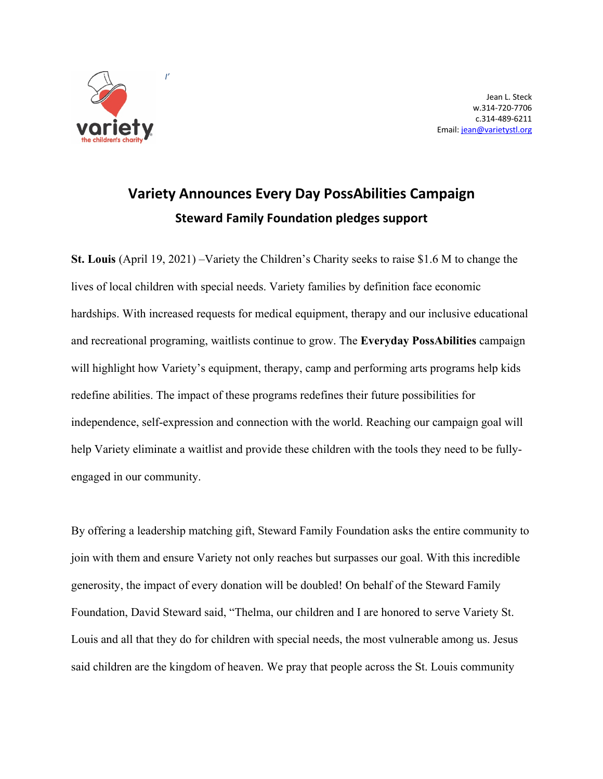

Jean L. Steck w.314-720-7706 c.314-489-6211 Email: jean@varietystl.org

## **Variety Announces Every Day PossAbilities Campaign Steward Family Foundation pledges support**

**St. Louis** (April 19, 2021) –Variety the Children's Charity seeks to raise \$1.6 M to change the lives of local children with special needs. Variety families by definition face economic hardships. With increased requests for medical equipment, therapy and our inclusive educational and recreational programing, waitlists continue to grow. The **Everyday PossAbilities** campaign will highlight how Variety's equipment, therapy, camp and performing arts programs help kids redefine abilities. The impact of these programs redefines their future possibilities for independence, self-expression and connection with the world. Reaching our campaign goal will help Variety eliminate a waitlist and provide these children with the tools they need to be fullyengaged in our community.

By offering a leadership matching gift, Steward Family Foundation asks the entire community to join with them and ensure Variety not only reaches but surpasses our goal. With this incredible generosity, the impact of every donation will be doubled! On behalf of the Steward Family Foundation, David Steward said, "Thelma, our children and I are honored to serve Variety St. Louis and all that they do for children with special needs, the most vulnerable among us. Jesus said children are the kingdom of heaven. We pray that people across the St. Louis community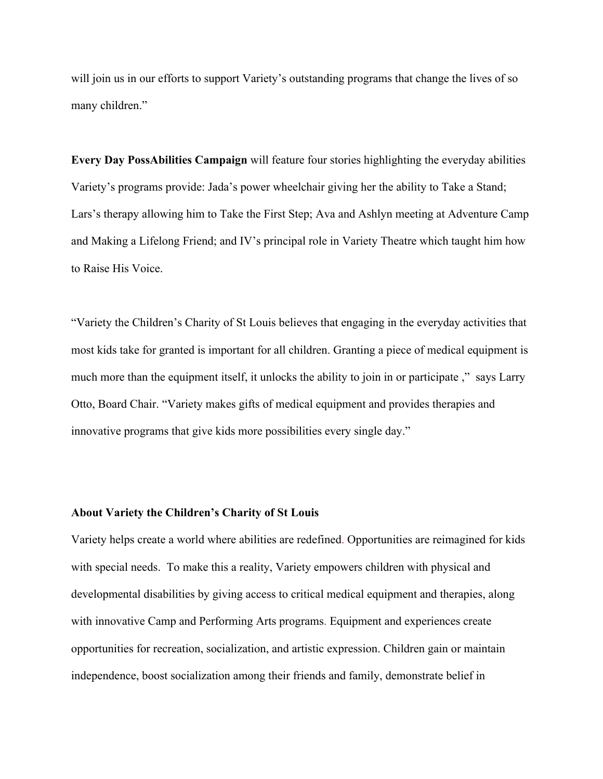will join us in our efforts to support Variety's outstanding programs that change the lives of so many children."

**Every Day PossAbilities Campaign** will feature four stories highlighting the everyday abilities Variety's programs provide: Jada's power wheelchair giving her the ability to Take a Stand; Lars's therapy allowing him to Take the First Step; Ava and Ashlyn meeting at Adventure Camp and Making a Lifelong Friend; and IV's principal role in Variety Theatre which taught him how to Raise His Voice.

"Variety the Children's Charity of St Louis believes that engaging in the everyday activities that most kids take for granted is important for all children. Granting a piece of medical equipment is much more than the equipment itself, it unlocks the ability to join in or participate ," says Larry Otto, Board Chair. "Variety makes gifts of medical equipment and provides therapies and innovative programs that give kids more possibilities every single day."

## **About Variety the Children's Charity of St Louis**

Variety helps create a world where abilities are redefined. Opportunities are reimagined for kids with special needs. To make this a reality, Variety empowers children with physical and developmental disabilities by giving access to critical medical equipment and therapies, along with innovative Camp and Performing Arts programs. Equipment and experiences create opportunities for recreation, socialization, and artistic expression. Children gain or maintain independence, boost socialization among their friends and family, demonstrate belief in